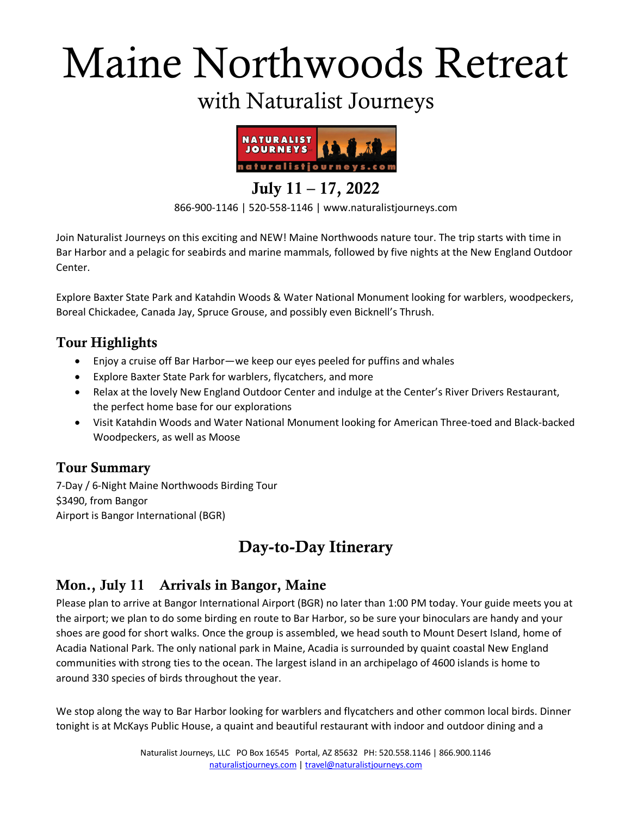# Maine Northwoods Retreat

## with Naturalist Journeys



July 11 – 17, 2022

866-900-1146 | 520-558-1146 | www.naturalistjourneys.com

Join Naturalist Journeys on this exciting and NEW! Maine Northwoods nature tour. The trip starts with time in Bar Harbor and a pelagic for seabirds and marine mammals, followed by five nights at the New England Outdoor Center.

Explore Baxter State Park and Katahdin Woods & Water National Monument looking for warblers, woodpeckers, Boreal Chickadee, Canada Jay, Spruce Grouse, and possibly even Bicknell's Thrush.

#### Tour Highlights

- Enjoy a cruise off Bar Harbor—we keep our eyes peeled for puffins and whales
- Explore Baxter State Park for warblers, flycatchers, and more
- Relax at the lovely New England Outdoor Center and indulge at the Center's River Drivers Restaurant, the perfect home base for our explorations
- Visit Katahdin Woods and Water National Monument looking for American Three-toed and Black-backed Woodpeckers, as well as Moose

#### Tour Summary

7-Day / 6-Night Maine Northwoods Birding Tour \$3490, from Bangor Airport is Bangor International (BGR)

## Day-to-Day Itinerary

#### Mon., July 11 Arrivals in Bangor, Maine

Please plan to arrive at Bangor International Airport (BGR) no later than 1:00 PM today. Your guide meets you at the airport; we plan to do some birding en route to Bar Harbor, so be sure your binoculars are handy and your shoes are good for short walks. Once the group is assembled, we head south to Mount Desert Island, home of Acadia National Park. The only national park in Maine, Acadia is surrounded by quaint coastal New England communities with strong ties to the ocean. The largest island in an archipelago of 4600 islands is home to around 330 species of birds throughout the year.

We stop along the way to Bar Harbor looking for warblers and flycatchers and other common local birds. Dinner tonight is at McKays Public House, a quaint and beautiful restaurant with indoor and outdoor dining and a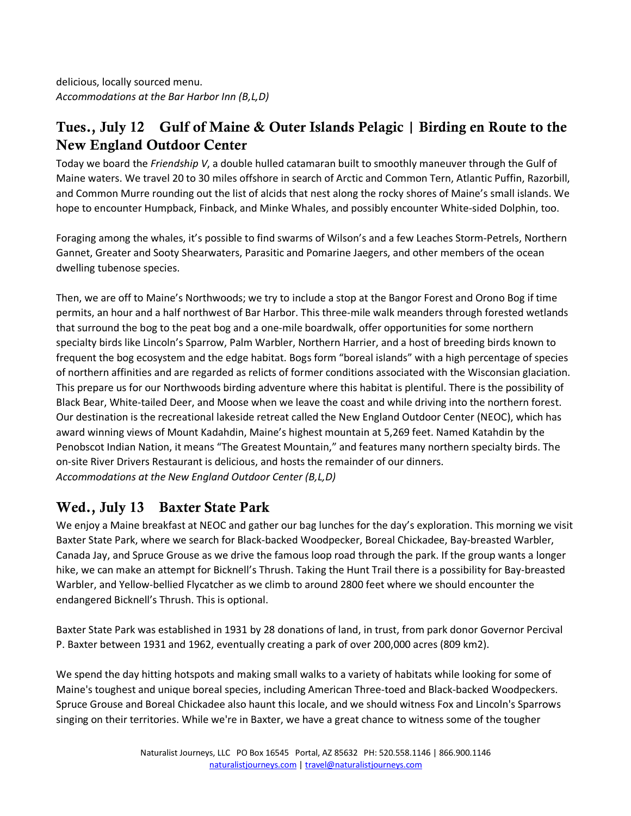delicious, locally sourced menu. *Accommodations at the Bar Harbor Inn (B,L,D)*

#### Tues., July 12 Gulf of Maine & Outer Islands Pelagic | Birding en Route to the New England Outdoor Center

Today we board the *Friendship V*, a double hulled catamaran built to smoothly maneuver through the Gulf of Maine waters. We travel 20 to 30 miles offshore in search of Arctic and Common Tern, Atlantic Puffin, Razorbill, and Common Murre rounding out the list of alcids that nest along the rocky shores of Maine's small islands. We hope to encounter Humpback, Finback, and Minke Whales, and possibly encounter White-sided Dolphin, too.

Foraging among the whales, it's possible to find swarms of Wilson's and a few Leaches Storm-Petrels, Northern Gannet, Greater and Sooty Shearwaters, Parasitic and Pomarine Jaegers, and other members of the ocean dwelling tubenose species.

Then, we are off to Maine's Northwoods; we try to include a stop at the Bangor Forest and Orono Bog if time permits, an hour and a half northwest of Bar Harbor. This three-mile walk meanders through forested wetlands that surround the bog to the peat bog and a one-mile boardwalk, offer opportunities for some northern specialty birds like Lincoln's Sparrow, Palm Warbler, Northern Harrier, and a host of breeding birds known to frequent the bog ecosystem and the edge habitat. Bogs form "boreal islands" with a high percentage of species of northern affinities and are regarded as relicts of former conditions associated with the Wisconsian glaciation. This prepare us for our Northwoods birding adventure where this habitat is plentiful. There is the possibility of Black Bear, White-tailed Deer, and Moose when we leave the coast and while driving into the northern forest. Our destination is the recreational lakeside retreat called the New England Outdoor Center (NEOC), which has award winning views of Mount Kadahdin, Maine's highest mountain at 5,269 feet. Named Katahdin by the Penobscot Indian Nation, it means "The Greatest Mountain," and features many northern specialty birds. The on-site River Drivers Restaurant is delicious, and hosts the remainder of our dinners. *Accommodations at the New England Outdoor Center (B,L,D)*

#### Wed., July 13 Baxter State Park

We enjoy a Maine breakfast at NEOC and gather our bag lunches for the day's exploration. This morning we visit Baxter State Park, where we search for Black-backed Woodpecker, Boreal Chickadee, Bay-breasted Warbler, Canada Jay, and Spruce Grouse as we drive the famous loop road through the park. If the group wants a longer hike, we can make an attempt for Bicknell's Thrush. Taking the Hunt Trail there is a possibility for Bay-breasted Warbler, and Yellow-bellied Flycatcher as we climb to around 2800 feet where we should encounter the endangered Bicknell's Thrush. This is optional.

Baxter State Park was established in 1931 by 28 donations of land, in trust, from park donor Governor Percival P. Baxter between 1931 and 1962, eventually creating a park of over 200,000 acres (809 km2).

We spend the day hitting hotspots and making small walks to a variety of habitats while looking for some of Maine's toughest and unique boreal species, including American Three-toed and Black-backed Woodpeckers. Spruce Grouse and Boreal Chickadee also haunt this locale, and we should witness Fox and Lincoln's Sparrows singing on their territories. While we're in Baxter, we have a great chance to witness some of the tougher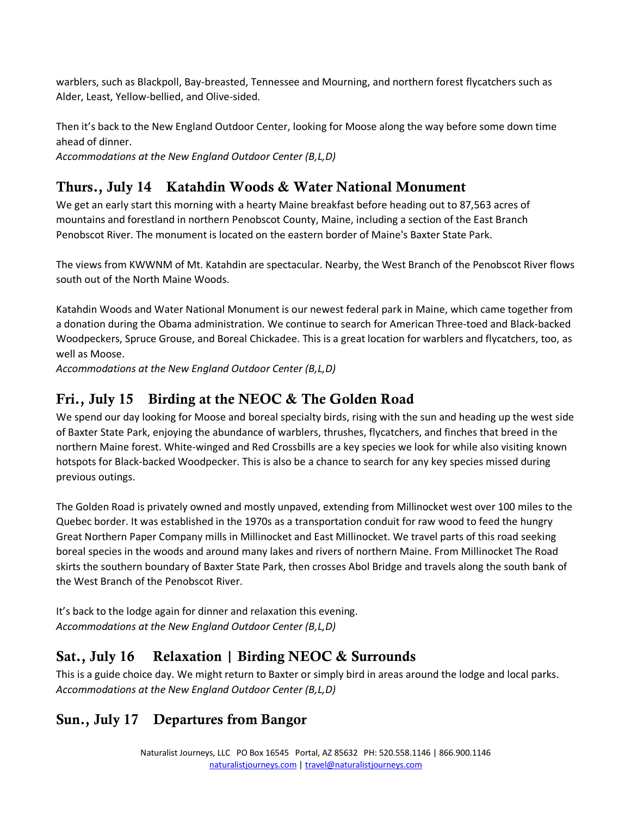warblers, such as Blackpoll, Bay-breasted, Tennessee and Mourning, and northern forest flycatchers such as Alder, Least, Yellow-bellied, and Olive-sided.

Then it's back to the New England Outdoor Center, looking for Moose along the way before some down time ahead of dinner.

*Accommodations at the New England Outdoor Center (B,L,D)*

#### Thurs., July 14 Katahdin Woods & Water National Monument

We get an early start this morning with a hearty Maine breakfast before heading out to 87,563 acres of mountains and forestland in northern Penobscot County, Maine, including a section of the East Branch Penobscot River. The monument is located on the eastern border of Maine's Baxter State Park.

The views from KWWNM of Mt. Katahdin are spectacular. Nearby, the West Branch of the Penobscot River flows south out of the North Maine Woods.

Katahdin Woods and Water National Monument is our newest federal park in Maine, which came together from a donation during the Obama administration. We continue to search for American Three-toed and Black-backed Woodpeckers, Spruce Grouse, and Boreal Chickadee. This is a great location for warblers and flycatchers, too, as well as Moose.

*Accommodations at the New England Outdoor Center (B,L,D)*

#### Fri., July 15 Birding at the NEOC & The Golden Road

We spend our day looking for Moose and boreal specialty birds, rising with the sun and heading up the west side of Baxter State Park, enjoying the abundance of warblers, thrushes, flycatchers, and finches that breed in the northern Maine forest. White-winged and Red Crossbills are a key species we look for while also visiting known hotspots for Black-backed Woodpecker. This is also be a chance to search for any key species missed during previous outings.

The Golden Road is privately owned and mostly unpaved, extending from Millinocket west over 100 miles to the Quebec border. It was established in the 1970s as a transportation conduit for raw wood to feed the hungry Great Northern Paper Company mills in Millinocket and East Millinocket. We travel parts of this road seeking boreal species in the woods and around many lakes and rivers of northern Maine. From Millinocket The Road skirts the southern boundary of Baxter State Park, then crosses Abol Bridge and travels along the south bank of the West Branch of the Penobscot River.

It's back to the lodge again for dinner and relaxation this evening. *Accommodations at the New England Outdoor Center (B,L,D)*

#### Sat., July 16 Relaxation | Birding NEOC & Surrounds

This is a guide choice day. We might return to Baxter or simply bird in areas around the lodge and local parks. *Accommodations at the New England Outdoor Center (B,L,D)*

#### Sun., July 17 Departures from Bangor